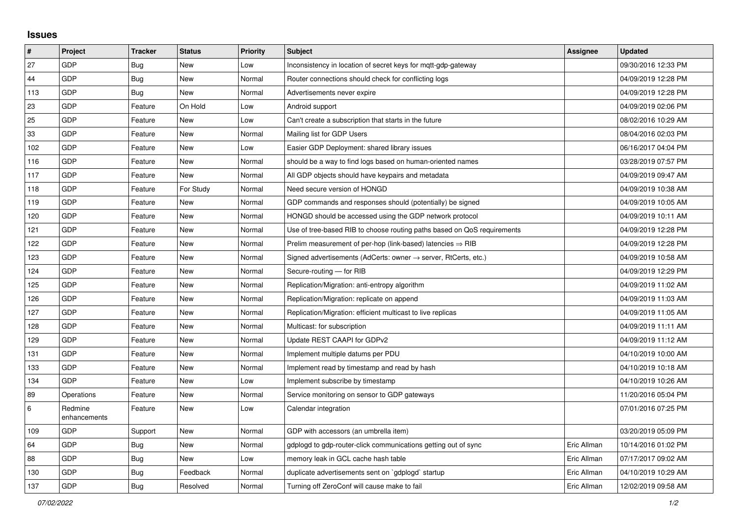## **Issues**

| $\sharp$ | Project                 | <b>Tracker</b> | <b>Status</b> | Priority | <b>Subject</b>                                                             | Assignee    | <b>Updated</b>      |
|----------|-------------------------|----------------|---------------|----------|----------------------------------------------------------------------------|-------------|---------------------|
| 27       | GDP                     | Bug            | <b>New</b>    | Low      | Inconsistency in location of secret keys for mgtt-gdp-gateway              |             | 09/30/2016 12:33 PM |
| 44       | GDP                     | Bug            | <b>New</b>    | Normal   | Router connections should check for conflicting logs                       |             | 04/09/2019 12:28 PM |
| 113      | GDP                     | <b>Bug</b>     | <b>New</b>    | Normal   | Advertisements never expire                                                |             | 04/09/2019 12:28 PM |
| 23       | <b>GDP</b>              | Feature        | On Hold       | Low      | Android support                                                            |             | 04/09/2019 02:06 PM |
| 25       | GDP                     | Feature        | <b>New</b>    | Low      | Can't create a subscription that starts in the future                      |             | 08/02/2016 10:29 AM |
| 33       | <b>GDP</b>              | Feature        | <b>New</b>    | Normal   | Mailing list for GDP Users                                                 |             | 08/04/2016 02:03 PM |
| 102      | <b>GDP</b>              | Feature        | New           | Low      | Easier GDP Deployment: shared library issues                               |             | 06/16/2017 04:04 PM |
| 116      | GDP                     | Feature        | <b>New</b>    | Normal   | should be a way to find logs based on human-oriented names                 |             | 03/28/2019 07:57 PM |
| 117      | <b>GDP</b>              | Feature        | <b>New</b>    | Normal   | All GDP objects should have keypairs and metadata                          |             | 04/09/2019 09:47 AM |
| 118      | GDP                     | Feature        | For Study     | Normal   | Need secure version of HONGD                                               |             | 04/09/2019 10:38 AM |
| 119      | <b>GDP</b>              | Feature        | <b>New</b>    | Normal   | GDP commands and responses should (potentially) be signed                  |             | 04/09/2019 10:05 AM |
| 120      | <b>GDP</b>              | Feature        | New           | Normal   | HONGD should be accessed using the GDP network protocol                    |             | 04/09/2019 10:11 AM |
| 121      | GDP                     | Feature        | <b>New</b>    | Normal   | Use of tree-based RIB to choose routing paths based on QoS requirements    |             | 04/09/2019 12:28 PM |
| 122      | <b>GDP</b>              | Feature        | <b>New</b>    | Normal   | Prelim measurement of per-hop (link-based) latencies $\Rightarrow$ RIB     |             | 04/09/2019 12:28 PM |
| 123      | GDP                     | Feature        | <b>New</b>    | Normal   | Signed advertisements (AdCerts: owner $\rightarrow$ server, RtCerts, etc.) |             | 04/09/2019 10:58 AM |
| 124      | <b>GDP</b>              | Feature        | <b>New</b>    | Normal   | Secure-routing - for RIB                                                   |             | 04/09/2019 12:29 PM |
| 125      | <b>GDP</b>              | Feature        | New           | Normal   | Replication/Migration: anti-entropy algorithm                              |             | 04/09/2019 11:02 AM |
| 126      | <b>GDP</b>              | Feature        | <b>New</b>    | Normal   | Replication/Migration: replicate on append                                 |             | 04/09/2019 11:03 AM |
| 127      | <b>GDP</b>              | Feature        | <b>New</b>    | Normal   | Replication/Migration: efficient multicast to live replicas                |             | 04/09/2019 11:05 AM |
| 128      | GDP                     | Feature        | <b>New</b>    | Normal   | Multicast: for subscription                                                |             | 04/09/2019 11:11 AM |
| 129      | <b>GDP</b>              | Feature        | <b>New</b>    | Normal   | Update REST CAAPI for GDPv2                                                |             | 04/09/2019 11:12 AM |
| 131      | GDP                     | Feature        | <b>New</b>    | Normal   | Implement multiple datums per PDU                                          |             | 04/10/2019 10:00 AM |
| 133      | GDP                     | Feature        | <b>New</b>    | Normal   | Implement read by timestamp and read by hash                               |             | 04/10/2019 10:18 AM |
| 134      | <b>GDP</b>              | Feature        | <b>New</b>    | Low      | Implement subscribe by timestamp                                           |             | 04/10/2019 10:26 AM |
| 89       | Operations              | Feature        | <b>New</b>    | Normal   | Service monitoring on sensor to GDP gateways                               |             | 11/20/2016 05:04 PM |
| $\,6\,$  | Redmine<br>enhancements | Feature        | <b>New</b>    | Low      | Calendar integration                                                       |             | 07/01/2016 07:25 PM |
| 109      | GDP                     | Support        | <b>New</b>    | Normal   | GDP with accessors (an umbrella item)                                      |             | 03/20/2019 05:09 PM |
| 64       | GDP                     | Bug            | <b>New</b>    | Normal   | gdplogd to gdp-router-click communications getting out of sync             | Eric Allman | 10/14/2016 01:02 PM |
| 88       | <b>GDP</b>              | Bug            | <b>New</b>    | Low      | memory leak in GCL cache hash table                                        | Eric Allman | 07/17/2017 09:02 AM |
| 130      | GDP                     | <b>Bug</b>     | Feedback      | Normal   | duplicate advertisements sent on `gdplogd` startup                         | Eric Allman | 04/10/2019 10:29 AM |
| 137      | GDP                     | <b>Bug</b>     | Resolved      | Normal   | Turning off ZeroConf will cause make to fail                               | Eric Allman | 12/02/2019 09:58 AM |